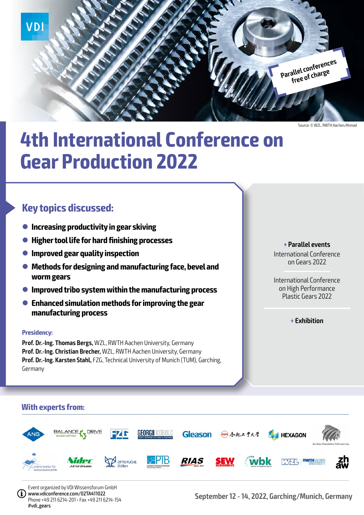

Source: © WZL, RWTH Aachen/Ahmad

# **4th International Conference on Gear Production 2022**

### **Key topics discussed:**

- **Increasing productivity in gear skiving**
- l **Higher tool life for hard finishing processes**
- **Improved gear quality inspection**
- **Methods for designing and manufacturing face, bevel and worm gears**
- **Improved tribo system within the manufacturing process**
- l **Enhanced simulation methods for improving the gear manufacturing process**

#### **Presidency:**

**Prof. Dr.-Ing. Thomas Bergs,** WZL, RWTH Aachen University, Germany **Prof. Dr.-Ing. Christian Brecher,** WZL, RWTH Aachen University, Germany **Prof. Dr.-Ing. Karsten Stahl, FZG, Technical University of Munich (TUM), Garching,** Germany

#### **+ Parallel events**

International Conference on Gears 2022

International Conference on High Performance Plastic Gears 2022

**+ Exhibition**

### **With experts from:**



Event organized by VDI Wissensforum GmbH www.vdiconference.com/02TA411022 Phone +49 211 6214-201 • Fax +49 211 6214-154 #vdi\_gears

**September 12 - 14, 2022, Garching/Munich, Germany**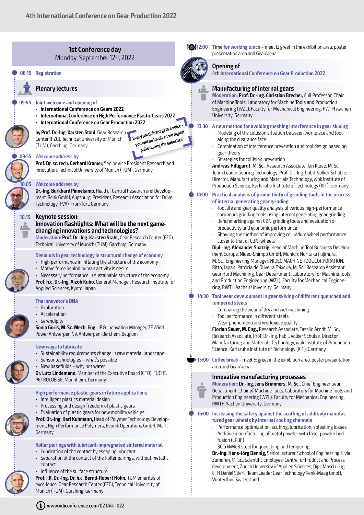

**Q 12:00 Time for working lunch** – meet & greet in the exhibition area, poster presentation area and GearArena

#### **Opening of**

**4th International Conference on Gear Production 2022**

#### **Manufacturing of internal gears**

**Moderation: Prof. Dr.-Ing. Christian Brecher,** Full Professor, Chair of Machine Tools, Laboratory for Machine Tools and Production Engineering (WZL), Faculty for Mechanical Engineering, RWTH Aachen University, Germany

#### Q **13:30 A new method for avoiding meshing interference in gear skiving**

- Modeling of the collision situation between workpiece and tool along the clearance face
- Combination of interference prevention and tool design based on gear theory
- Strategies for collision prevention

**Andreas Hilligardt, M. Sc.,** Research Associate, Jan Klose, M. Sc., Team Leader Gearing Technology, Prof. Dr.-Ing. habil. Volker Schulze, Director, Manufacturing and Materials Technology, wbk Institute of Production Science, Karlsruhe Institute of Technology (KIT), Germany

#### Q **14:00 Practical analysis of productivity of grinding tools in the process of internal generating gear grinding**

- Tool life and gear quality analysis of various high-performance corundum grinding tools using internal generating gear grinding
- Benchmarking against CBN grinding tools and evaluation of productivity and economic performance
- Showing the method of improving corundum wheel performance closer to that of CBN-wheels

**Dipl.-Ing. Alexander Spatzig,** Head of Machine Tool Business Development Europe, Nidec-Shimpo GmbH, Munich; Noritaka Fujimura, M. Sc., Engineering Manager, NIDEC MACHINE TOOL CORPORATION, Ritto, Japan; Patricia de Oliveira Teixeira, M. Sc., Research Assistant, Gear Hard Machining, Gear Department, Laboratory for Machine Tools and Production Engineering (WZL), Faculty for Mechanical Engineering, RWTH Aachen University, Germany

#### Q **14:30 Tool wear development in gear skiving of different quenched and tempered steels**

- Comparing the wear of dry and wet machining
- Tool performance in different steels
- Wear phenomena and workpiece quality

**Florian Sauer, M. Eng.,** Research Associate, Tassilo Arndt, M. Sc., Research Associate, Prof. Dr.-Ing. habil. Volker Schulze, Director, Manufacturing and Materials Technology, wbk Institute of Production Science, Karlsruhe Institute of Technology (KIT), Germany

**15:00 Coffee break** – meet & greet in the exhibition area, poster presentation area and GearArena

#### **Innovative manufacturing processes**

**Moderation: Dr.-Ing. Jens Brimmers, M. Sc.,** Chief Engineer Gear Department, Chair of Machine Tools, Laboratory for Machine Tools and Production Engineering (WZL), Faculty for Mechanical Engineering, RWTH Aachen University, Germany

Q **16:00 Increasing the safety against the scuffing of additivly manufactured gear wheels by internal cooling channels**

- Performance optimization: scuffing, lubrication, splashing losses • Additive manufacturing of metal powder with laser powder bed fusion (LPBF)
- 30CrNiMo8 steel for quenching and tempering

**Dr.-Ing. Hans-Jörg Dennig,** Senior lecturer, School of Engineering, Livia Zumofen, M. Sc., Scientific Employee, Centre for Product and Process development, Zurich University of Applied Sciences, Dipl. Masch.-Ing. ETH Daniel Stierli, Team Leader Gear Technology Renk-Maag GmbH, Winterthur, Switzerland

Munich (TUM), Garching, Germany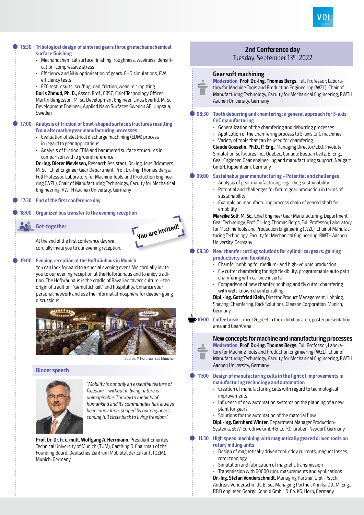

#### Q **16:30 Tribological design of sintered gears through mechanochemical surface finishing** • Mechanochemical surface finishing: roughness, waviness, densification, compressive stress • Efficiency and NHV optimisation of gears: EHD simulations, FVA efficiency tests • FZG test results: scuffing load, friction, wear, micropitting **Boris Zhmud, Ph. D.,** Assoc. Prof., FRSC, Chief Technology Officer, Martin Bengtsson, M. Sc. Development Engineer, Linus Everlid, M. Sc. Development Engineer, Applied Nano Surfaces Sweden AB, Uppsala, Sweden Q **17:00 Analysis of friction of bowl-shaped surface structures resulting from alternative gear manufacturing processes** • Evaluation of electrical discharge machining (EDM) process in regard to gear applications • Analysis of friction EDM and hammered surface structures in comparison with a ground reference **Dr.-Ing. Dieter Mevissen,** Research Assistant, Dr.-Ing. Jens Brimmers, M. Sc., Chief Engineer Gear Department, Prof. Dr.-Ing. Thomas Bergs, Full Professor, Laboratory for Machine Tools and Production Engineering (WZL), Chair of Manufacturing Technology, Faculty for Mechanical Engineering, RWTH Aachen University, Germany Q **17:30 End of the first conference day** Q **18:00 Organized bus transfer to the evening reception**





At the end of the first conference day we cordially invite you to our evening reception.

#### Q **19:00 Evening reception at the Hofbräuhaus in Munich**

You can look forward to a special evening event. We cordially invite you to our evening reception at the Hofbräuhaus and to enjoy tradition. The Hofbräuhaus is the cradle of Bavarian tavern culture – the origin of tradition, "Gemütlichkeit" and hospitality. Enhance your personal network and use the informal atmosphere for deeper-going discussions.



Source: @ Hofbräuhaus München

#### **Dinner speech**



"Mobility is not only an essential feature of freedom – without it, living nature is unimaginable. The key to mobility of humankind and its communities has always been innovation, shaped by our engineers, coming full circle back to living freedom."

**Prof. Dr. Dr. h. c. mult. Wolfgang A. Herrmann,** President Emeritus, Technical University of Munich (TUM), Garching & Chairman of the Founding Board, Deutsches Zentrum Mobilität der Zukunft (DZM), Munich, Germany

### **2nd Conference day**

Tuesday, September 13th, 2022

#### **Gear soft machining**



**Moderation: Prof. Dr.-Ing. Thomas Bergs,** Full Professor, Laboratory for Machine Tools and Production Engineering (WZL), Chair of Manufacturing Technology, Faculty for Mechanical Engineering, RWTH Aachen University, Germany

#### Q **08:30 Tooth deburring and chamfering: a general approach for 5-axis CnC manufacturing**

- Generalization of the chamfering and deburring processes
- Application of the chamfering process to 5-axis CnC machines
- Variety of tools that can be used for chamfering

**Claude Gosselin, Ph.D., P. Eng.,** Managing Director/CEO, Involute Simulation Softwares Inc., Quebec, Canada; Bastian Leitz, B. Eng., Gear Engineer, Gear engineering and manufacturing support, Neugart GmbH, Kippenheim, Germany

#### Q **09:00 Sustainable gear manufacturing – Potential and challenges**

- Analysis of gear manufacturing regarding sustainability
- Potential and challenges for future gear production in terms of sustainability
- Example on manufacturing process chain of geared shaft for emobility

**Mareike Solf, M. Sc.,** Chief Engineer Gear Manufacturing, Department Gear Technology, Prof. Dr.-Ing. Thomas Bergs, Full Professor, Laboratory for Machine Tools and Production Engineering (WZL), Chair of Manufacturing Technology, Faculty for Mechanical Engineering, RWTH Aachen University, Germany

#### Q **09:30 New chamfer cutting solutions for cylindrical gears: gaining productivity and flexibility**

- Chamfer hobbing for medium- and high-volume production
- Fly cutter chamfering for high flexibility: programmable auto path chamfering with carbide inserts
- Comparison of new chamfer hobbing and fly cutter chamfering with well-known chamfer rolling

**Dipl.-Ing. Gottfried Klein,** Director Product Management, Hobbing, Shaving, Chamfering, Rack Solutions, Gleason Corporation, Munich, Germany

**10:00 Coffee break** – meet & greet in the exhibition area, poster presentation area and GearArena

#### **New concepts for machine and manufacturing processes**

**Moderation: Prof. Dr.-Ing. Thomas Bergs,** Full Professor, Laboratory for Machine Tools and Production Engineering (WZL), Chair of Manufacturing Technology, Faculty for Mechanical Engineering, RWTH Aachen University, Germany

#### Q **11:00 Design of manufacturing cells in the light of improvements in manufacturing technology and automation**

- Creation of manufacturing cells with regard to technological improvements
- Influence of new automation systems on the planning of a new plant for gears
- Solutions for the automation of the material flow

**Dipl.-Ing. Bernhard Winter,** Department Manager Production-Systems, SEW-Eurodrive GmbH & Co. KG, Graben-Neudorf, Germany

#### Q **11:30 High speed machining with magnetically geared driven tools on rotary milling units**

- Design of magnetically driven tool: eddy currents, magnet losses, rotor topology
- Simulation and fabrication of magnetic transmission
- Transmission with 60000 rpm: masurements and applications

**Dr.-Ing. Stefan Vonderschmidt,** Managing Partner, Dipl.-Psych.

Andreas Vonderschmidt, B. Sc., Managing Partner, Annika Ott, M. Eng., R&D engineer, Georgii Kobold GmbH & Co. KG, Horb, Germany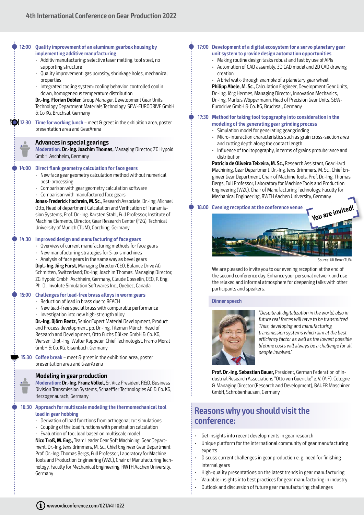|  | 12:00       | Quality improvement of an aluminum gearbox housing by<br>implementing additive manufacturing<br>· Additiv manufacturing: selective laser melting, tool steel, no<br>supporting structure<br>· Quality improvement: gas porosity, shrinkage holes, mechanical<br>properties<br>Integrated cooling system: cooling behavior, controlled coolin<br>down, homogeneous temperature distribution<br>Dr.-Ing. Florian Dobler, Group Manager, Development Gear Units,<br>Technology Department Materials Technology, SEW-EURODRIVE GmbH<br>& Co KG, Bruchsal, Germany                                                                                                                                                                                                                                                                                                                                                                                                                                                                                                                                                     | 17:00 Development of a digital ecosystem for a servo planetary gear<br>unit system to provide design automation opportunities<br>• Making routine design tasks robust and fast by use of APIs<br>• Automation of CAD assembly, 3D CAD model and 2D CAD drawing<br>creation<br>• A brief walk-through example of a planetary gear wheel<br>Philipp Abele, M. Sc., Calculation Engineer, Development Gear Units,<br>Dr.-Ing. Jörg Hermes, Managing Director, Innovation Mechanics,<br>Dr.-Ing. Markus Wöppermann, Head of Precision Gear Units, SEW-<br>Eurodrive GmbH & Co. KG, Bruchsal, Germany |  |
|--|-------------|-------------------------------------------------------------------------------------------------------------------------------------------------------------------------------------------------------------------------------------------------------------------------------------------------------------------------------------------------------------------------------------------------------------------------------------------------------------------------------------------------------------------------------------------------------------------------------------------------------------------------------------------------------------------------------------------------------------------------------------------------------------------------------------------------------------------------------------------------------------------------------------------------------------------------------------------------------------------------------------------------------------------------------------------------------------------------------------------------------------------|--------------------------------------------------------------------------------------------------------------------------------------------------------------------------------------------------------------------------------------------------------------------------------------------------------------------------------------------------------------------------------------------------------------------------------------------------------------------------------------------------------------------------------------------------------------------------------------------------|--|
|  | 12:30       | Time for working lunch - meet $a$ greet in the exhibition area, poster<br>presentation area and GearArena                                                                                                                                                                                                                                                                                                                                                                                                                                                                                                                                                                                                                                                                                                                                                                                                                                                                                                                                                                                                         | 17:30 Method for taking tool topography into consideration in the<br>modeling of the generating gear grinding process<br>· Simulation model for generating gear grinding<br>Micro-interaction characteristics such as grain cross-section area                                                                                                                                                                                                                                                                                                                                                   |  |
|  | <u>. 2.</u> | <b>Advances in special gearings</b><br>Moderation: Dr.-Ing. Joachim Thomas, Managing Director, ZG Hypoid<br>GmbH, Aschheim, Germany                                                                                                                                                                                                                                                                                                                                                                                                                                                                                                                                                                                                                                                                                                                                                                                                                                                                                                                                                                               | and cutting depth along the contact length<br>· Influence of tool topography, in terms of grains protuberance and<br>distribution                                                                                                                                                                                                                                                                                                                                                                                                                                                                |  |
|  | 14:00       | <b>Direct flank geometry calculation for face gears</b><br>• New face gear geometry calculation method without numerical<br>post-processing<br>• Comparison with gear geometry calculation software<br>• Comparison with manufactured face gears<br>Jonas-Frederick Hochrein, M. Sc., Research Associate, Dr.-Ing. Michael<br>Otto, Head of department Calculation and Verification of Transmis-<br>sion Systems, Prof. Dr.-Ing. Karsten Stahl, Full Professor, Institute of<br>Machine Elements, Director, Gear Research Center (FZG), Technical<br>University of Munich (TUM), Garching, Germany<br>Improved design and manufacturing of face gears<br>• Overview of current manufacturing methods for face gears<br>• New manufacturing strategies for 5-axis machines<br>• Analysis of face gears in the same way as bevel gears<br>Dipl.-Ing. Jürg Fürst, Managing Director/CEO, Balance Drive AG,<br>Schmitten, Switzerland; Dr.-Ing. Joachim Thomas, Managing Director,<br>ZG Hypoid GmbH, Aschheim, Germany, Claude Gosselin, CEO, P. Eng.,<br>Ph. D., Involute Simulation Softwares Inc., Quebec, Canada | Patricia de Oliveira Teixeira, M. Sc., Research Assistant, Gear Hard<br>Machining, Gear Department, Dr.-Ing. Jens Brimmers, M. Sc., Chief En-<br>gineer Gear Department, Chair of Machine Tools, Prof. Dr.-Ing. Thomas<br>Bergs, Full Professor, Laboratory for Machine Tools and Production<br>Engineering (WZL), Chair of Manufacturing Technology, Faculty for<br>Mechanical Engineering, RWTH Aachen University, Germany                                                                                                                                                                     |  |
|  |             |                                                                                                                                                                                                                                                                                                                                                                                                                                                                                                                                                                                                                                                                                                                                                                                                                                                                                                                                                                                                                                                                                                                   | 18:00 Evening reception at the conference venue<br>You are invited!                                                                                                                                                                                                                                                                                                                                                                                                                                                                                                                              |  |
|  | 14:30       |                                                                                                                                                                                                                                                                                                                                                                                                                                                                                                                                                                                                                                                                                                                                                                                                                                                                                                                                                                                                                                                                                                                   | Source: Uli Benz/TUM<br>We are pleased to invite you to our evening reception at the end of<br>the second conference day. Enhance your personal network and use<br>the relaxed and informal atmosphere for deepening talks with other<br>participants and speakers.                                                                                                                                                                                                                                                                                                                              |  |
|  | 15:00       | Challenges for lead-free brass alloys in worm gears<br>• Reduction of lead in brass due to REACH                                                                                                                                                                                                                                                                                                                                                                                                                                                                                                                                                                                                                                                                                                                                                                                                                                                                                                                                                                                                                  | <b>Dinner speech</b>                                                                                                                                                                                                                                                                                                                                                                                                                                                                                                                                                                             |  |
|  |             | • New lead-free special brass with comparable performance<br>· Investigation into new high-strength alloy<br>Dr.-Ing. Björn Reetz, Senior Expert Material Development, Product<br>and Process development, pp. Dr.-Ing. Tileman Münch, Head of<br>Research and Development, Otto Fuchs Dülken GmbH & Co. KG,<br>Viersen; Dipl.-Ing. Walter Kappeler, Chief Technologist, Framo Morat<br>GmbH & Co. KG, Eisenbach, Germany                                                                                                                                                                                                                                                                                                                                                                                                                                                                                                                                                                                                                                                                                         | "Despite all digitalization in the world, also in<br>future real forces will have to be transmitted.<br>Thus, developing and manufacturing<br>transmission systems which aim at the best<br>efficiency factor as well as the lowest possible<br>lifetime costs will always be a challenge for all<br>people involved."                                                                                                                                                                                                                                                                           |  |
|  | 15:30       | Coffee break - meet & greet in the exhibition area, poster<br>presentation area and GearArena                                                                                                                                                                                                                                                                                                                                                                                                                                                                                                                                                                                                                                                                                                                                                                                                                                                                                                                                                                                                                     |                                                                                                                                                                                                                                                                                                                                                                                                                                                                                                                                                                                                  |  |
|  | Ê           | <b>Modeling in gear production</b><br>Moderation: Dr.-Ing. Franz Völkel, Sr. Vice President R&D, Business<br>Division Transmission Systems, Schaeffler Technologies AG & Co. KG,<br>Herzogenaurach, Germany                                                                                                                                                                                                                                                                                                                                                                                                                                                                                                                                                                                                                                                                                                                                                                                                                                                                                                       | Prof. Dr.-Ing. Sebastian Bauer, President, German Federation of In-<br>dustrial Research Associations "Otto von Guericke" e. V. (AiF), Cologne<br>& Managing Director (Research and Development), BAUER Maschinen<br>GmbH, Schrobenhausen, Germany                                                                                                                                                                                                                                                                                                                                               |  |
|  | 16:30       | Approach for multiscale modeling the thermomechanical tool<br>load in gear hobbing<br>• Derivation of load functions from orthogonal cut simulations<br>• Coupling of the load functions with penetration calculation<br>• Evaluation of tool load based on multiscale model<br>Nico Troß, M. Eng., Team Leader Gear Soft Machining, Gear Depart-<br>ment, Dr.-Ing. Jens Brimmers, M. Sc., Chief Engineer Gear Department,<br>Prof. Dr.-Ing. Thomas Bergs, Full Professor, Laboratory for Machine<br>Tools and Production Engineering (WZL), Chair of Manufacturing Tech-<br>nology, Faculty for Mechanical Engineering, RWTH Aachen University,                                                                                                                                                                                                                                                                                                                                                                                                                                                                  | <b>Reasons why you should visit the</b><br>conference:                                                                                                                                                                                                                                                                                                                                                                                                                                                                                                                                           |  |
|  |             |                                                                                                                                                                                                                                                                                                                                                                                                                                                                                                                                                                                                                                                                                                                                                                                                                                                                                                                                                                                                                                                                                                                   | Get insights into recent developments in gear research<br>Unique platform for the international community of gear manufacturing<br>experts<br>Discuss current challenges in gear production e. g. need for finishing<br>internal gears                                                                                                                                                                                                                                                                                                                                                           |  |

- High-quality presentations on the latest trends in gear manufacturing • Valuable insights into best practices for gear manufacturing in industry
	- Outlook and discussion of future gear manufacturing challenges

Germany

............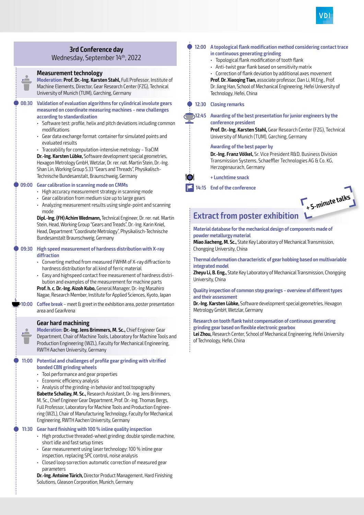#### **3rd Conference day**

Wednesday, September 14th, 2022

#### **Measurement technology**

**Moderation: Prof. Dr.-Ing. Karsten Stahl,** Full Professor, Institute of Machine Elements, Director, Gear Research Center (FZG), Technical University of Munich (TUM), Garching, Germany

#### Q **08:30 Validation of evaluation algorithms for cylindrical involute gears measured on coordinate measuring machines – new challenges according to standardization**

- Software test: profile, helix and pitch deviations including common modifications
- Gear data exchange format: container for simulated points and evaluated results
- Traceability for computation-intensive metrology TraCIM

**Dr.-Ing. Karsten Lübke,** Software development special geometries, Hexagon Metrology GmbH, Wetzlar, Dr. rer. nat. Martin Stein, Dr.-Ing. Shan Lin, Working Group 5.33 "Gears and Threads", Physikalisch-Technische Bundesanstalt, Braunschweig, Germany

#### Q **09:00 Gear calibration in scanning mode on CMMs**

- High accuracy measurement strategy in scanning mode
- Gear calibration from medium size up to large gears
- Analyzing measurement results using single-point and scanning mode

**Dipl.-Ing. (FH) Achim Wedmann,** Technical Engineer, Dr. rer. nat. Martin Stein, Head, Working Group "Gears and Treads", Dr.-Ing. Karin Kniel, Head, Department "Coordinate Metrology", Physikalisch-Technische Bundesanstalt Braunschweig, Germany

Q **09:30 High speed measurement of hardness distribution with X-ray diffraction**

- Converting method from measured FWHM of X-ray diffraction to hardness distribution for all kind of ferric material
- Easy and highspeed contact free measurement of hardness distribution and examples of the measurement for machine parts

**Prof. h. c. Dr.-Ing. Aizoh Kubo,** General Manager, Dr.-Ing Masahiro Nagae, Research Member, Institute for Applied Sciences, Kyoto, Japan

**10:00 Coffee break** – meet & greet in the exhibition area, poster presentation area and GearArena

#### **Gear hard machining**

**Moderation: Dr.-Ing. Jens Brimmers, M. Sc.,** Chief Engineer Gear Department, Chair of Machine Tools, Laboratory for Machine Tools and Production Engineering (WZL), Faculty for Mechanical Engineering, RWTH Aachen University, Germany

#### Q **11:00 Potential and challenges of profile gear grinding with vitrified bonded CBN grinding wheels**

- Tool performance and gear properties
- Economic efficiency analysis

i

• Analysis of the grinding-in behavior and tool topography

**Babette Schalley, M. Sc.,** Research Assistant, Dr.-Ing. Jens Brimmers, M. Sc., Chief Engineer Gear Department, Prof. Dr.-Ing. Thomas Bergs, Full Professor, Laboratory for Machine Tools and Production Engineering (WZL), Chair of Manufacturing Technology, Faculty for Mechanical Engineering, RWTH Aachen University, Germany

#### Q **11:30 Gear hard finishing with 100 % inline quality inspection**

- High productive threaded-wheel grinding: double spindle machine, short idle and fast setup times
- Gear measurement using laser technology: 100 % inline gear inspection, replacing SPC control, noise analysis
- Closed loop sorrection: automatic correction of measured gear parameters

**Dr.-Ing. Antoine Türich,** Director Product Management, Hard Finishing Solutions, Gleason Corporation, Munich, Germany

#### Q **12:00 A topological flank modification method considering contact trace in continuous generating grinding**

- Topological flank modification of tooth flank
- Anti-twist gear flank based on sensitivity matrix

• Correction of flank deviation by additional axes movement **Prof. Dr. Xiaoqing Tian,** associate professor, Dan Li, M.Eng., Prof. Dr. Jiang Han, School of Mechanical Engineering, Hefei University of Technology, Hefei, China

#### Q **12:30 Closing remarks**

Q **12:45 Awarding of the best presentation for junior engineers by the conference president**

**Prof. Dr.-Ing. Karsten Stahl,** Gear Research Center (FZG), Technical University of Munich (TUM), Garching, Germany

#### **Awarding of the best paper by**

**Dr.-Ing. Franz Völkel,** Sr. Vice President R&D, Business Division Transmission Systems, Schaeffler Technologies AG & Co. KG, Herzogenaurach, Germany

**+ Lunchtime snack**

Q **14:15 End of the conference**

**Extract from poster exhibition + 5-minute talks**

**Material database for the mechanical design of components made of powder metallurgy material**

**Miao Jiacheng, M. Sc.,** State Key Laboratory of Mechanical Transmission, Chongqing University, China

**Thermal deformation characteristic of gear hobbing based on multivariable integrated model**

**Zheyu Li, B. Eng.,** State Key Laboratory of Mechanical Transmission, Chongqing University, China

#### **Quality inspection of common step gearings – overview of different types and their assessment**

**Dr.-Ing. Karsten Lübke,** Software development special geometries, Hexagon Metrology GmbH, Wetzlar, Germany

**Research on tooth flank twist compensation of continuous generating grinding gear based on flexible electronic gearbox**

**Lei Zhou,** Research Center, School of Mechanical Engineering, Hefei University of Technology, Hefei, China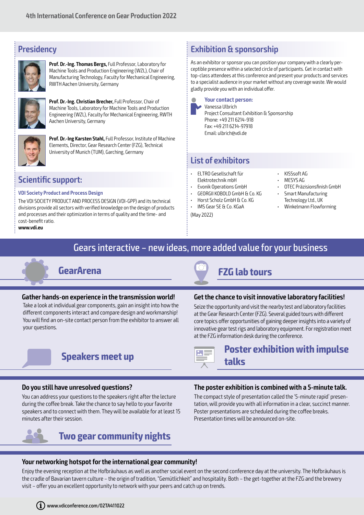### **Presidency**



**Prof. Dr.-Ing. Thomas Bergs,** Full Professor, Laboratory for Machine Tools and Production Engineering (WZL), Chair of Manufacturing Technology, Faculty for Mechanical Engineering, RWTH Aachen University, Germany



**Prof. Dr.-Ing. Christian Brecher,** Full Professor, Chair of Machine Tools, Laboratory for Machine Tools and Production Engineering (WZL), Faculty for Mechanical Engineering, RWTH Aachen University, Germany



**Prof. Dr.-Ing Karsten Stahl,** Full Professor, Institute of Machine Elements, Director, Gear Research Center (FZG), Technical University of Munich (TUM), Garching, Germany

### **Scientific support:**

#### **VDI Society Product and Process Design**

The VDI SOCIETY PRODUCT AND PROCESS DESIGN (VDI-GPP) and its technical divisions provide all sectors with verified knowledge on the design of products and processes and their optimization in terms of quality and the time- and cost-benefit ratio.

**www.vdi.eu**

### **Exhibition & sponsorship**

As an exhibitor or sponsor you can position your company with a clearly perceptible presence within a selected circle of participants. Get in contact with top-class attendees at this conference and present your products and services to a specialist audience in your market without any coverage waste. We would gladly provide you with an individual offer.



### **List of exhibitors**

- ELTRO Gesellschaft für Elektrotechnik mbH
- Evonik Operations GmbH
- GEORGII KOBOLD GmbH & Co. KG
- Horst Scholz GmbH & Co. KG
- IMS Gear SE & Co. KGaA

(May 2022)

- KISSsoft AG
- MESYS AG
- OTEC Präzisionsfinish GmbH
- Smart Manufacturing Technology Ltd., UK
- Winkelmann Flowforming

### Gears interactive – new ideas, more added value for your business



#### **Gather hands-on experience in the transmission world!**

Take a look at individual gear components, gain an insight into how the different components interact and compare design and workmanship! You will find an on-site contact person from the exhibitor to answer all your questions.

## **Speakers meet up Poster exhibition with impulse**

#### **Do you still have unresolved questions?**

You can address your questions to the speakers right after the lecture during the coffee break. Take the chance to say hello to your favorite speakers and to connect with them. They will be available for at least 15 minutes after their session.



### **Two gear community nights**

#### **The poster exhibition is combined with a 5-minute talk.**

**Get the chance to visit innovative laboratory facilities!** Seize the opportunity and visit the nearby test and laboratory facilities at the Gear Research Center (FZG). Several guided tours with different core topics offer opportunities of gaining deeper insights into a variety of innovative gear test rigs and laboratory equipment. For registration meet

at the FZG information desk during the conference.

**talks**

The compact style of presentation called the '5-minute rapid' presentation, will provide you with all information in a clear, succinct manner. Poster presentations are scheduled during the coffee breaks. Presentation times will be announced on-site.

#### **Your networking hotspot for the international gear community!**

Enjoy the evening reception at the Hofbräuhaus as well as another social event on the second conference day at the university. The Hofbräuhaus is the cradle of Bavarian tavern culture – the origin of tradition, "Gemütlichkeit" and hospitality. Both – the get-together at the FZG and the brewery visit – offer you an excellent opportunity to network with your peers and catch up on trends.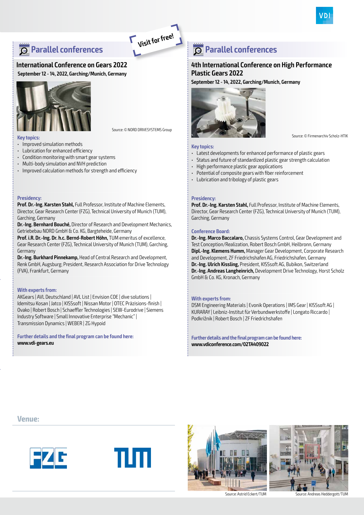### **Parallel conferences**

#### **International Conference on Gears 2022**

**September 12 - 14, 2022, Garching/Munich, Germany**



Source: © NORD DRIVESYSTEMS Group

**Visit for free!**

#### **Key topics:**

• Improved simulation methods

- Lubrication for enhanced efficiency
- Condition monitoring with smart gear systems
- Multi-body simulation and NVH prediction
- Improved calculation methods for strength and efficiency

#### **Presidency:**

**Prof. Dr.-Ing. Karsten Stahl,** Full Professor, Institute of Machine Elements, Director, Gear Research Center (FZG), Technical University of Munich (TUM), Garching, Germany

**Dr.-Ing. Bernhard Bouché,** Director of Research and Development Mechanics, Getriebebau NORD GmbH & Co. KG, Bargteheide, Germany

**Prof. i.R. Dr.-Ing. Dr. h.c. Bernd-Robert Höhn,** TUM emeritus of excellence, Gear Research Center (FZG), Technical University of Munich (TUM), Garching, Germany

**Dr.-Ing. Burkhard Pinnekamp,** Head of Central Research and Development, Renk GmbH, Augsburg; President, Research Association for Drive Technology (FVA), Frankfurt, Germany

#### **With experts from:**

AKGears | AVL Deutschland | AVL List | Envision COE | dive solutions | Idemitsu Kosan | Jatco | KISSsoft | Nissan Motor | OTEC Präzisions-finish | Ovako | Robert Bosch | Schaeffler Technologies | SEW-Eurodrive | Siemens Industry Software | Small Innovative Enterprise "Mechanic" | Transmission Dynamics | WEBER | ZG Hypoid

**Further details and the final program can be found here: www.vdi-gears.eu**

### **Parallel conferences**

#### **4th International Conference on High Performance Plastic Gears 2022**

**September 12 - 14, 2022, Garching/Munich, Germany**



Source: © Firmenarchiv Scholz-HTIK

#### **Key topics:**

- Latest developments for enhanced performance of plastic gears
- Status and future of standardized plastic gear strength calculation
- High performance plastic gear applications
- Potential of composite gears with fiber reinforcement
- Lubrication and tribology of plastic gears

#### **Presidency:**

**Prof. Dr.-Ing. Karsten Stahl,** Full Professor, Institute of Machine Elements, Director, Gear Research Center (FZG), Technical University of Munich (TUM), Garching, Germany

#### **Conference Board:**

**Dr.-Ing. Marco Baccalaro,** Chassis Systems Control, Gear Development and Test Conception/Realization, Robert Bosch GmbH, Heilbronn, Germany **Dipl.-Ing. Klemens Humm,** Manager Gear Development, Corporate Research and Development, ZF Friedrichshafen AG, Friedrichshafen, Germany **Dr.-Ing. Ulrich Kissling,** President, KISSsoft AG, Bubikon, Switzerland **Dr.-Ing. Andreas Langheinrich,** Development Drive Technology, Horst Scholz GmbH & Co. KG, Kronach, Germany

#### **With experts from:**

DSM Engineering Materials | Evonik Operations | IMS Gear | KISSsoft AG | KURARAY | Leibniz-Institut für Verbundwerkstoffe | Longato Riccardo | Podkrižnik | Robert Bosch | ZF Friedrichshafen

**Further details and the final program can be found here: www.vdiconference.com/02TA409022**

**Venue:**









Source: Astrid Eckert/TUM Source: Andreas Heddergott/TUM